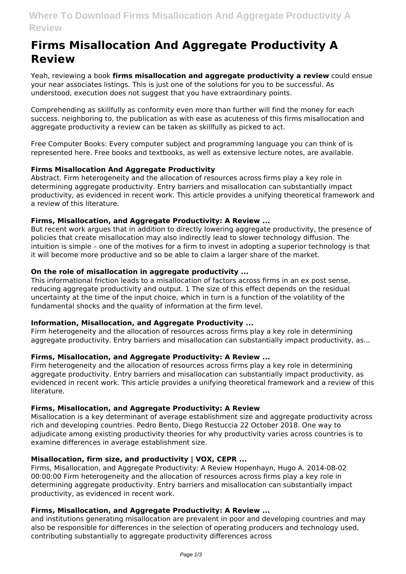# **Firms Misallocation And Aggregate Productivity A Review**

Yeah, reviewing a book **firms misallocation and aggregate productivity a review** could ensue your near associates listings. This is just one of the solutions for you to be successful. As understood, execution does not suggest that you have extraordinary points.

Comprehending as skillfully as conformity even more than further will find the money for each success. neighboring to, the publication as with ease as acuteness of this firms misallocation and aggregate productivity a review can be taken as skillfully as picked to act.

Free Computer Books: Every computer subject and programming language you can think of is represented here. Free books and textbooks, as well as extensive lecture notes, are available.

# **Firms Misallocation And Aggregate Productivity**

Abstract. Firm heterogeneity and the allocation of resources across firms play a key role in determining aggregate productivity. Entry barriers and misallocation can substantially impact productivity, as evidenced in recent work. This article provides a unifying theoretical framework and a review of this literature.

# **Firms, Misallocation, and Aggregate Productivity: A Review ...**

But recent work argues that in addition to directly lowering aggregate productivity, the presence of policies that create misallocation may also indirectly lead to slower technology diffusion. The intuition is simple – one of the motives for a firm to invest in adopting a superior technology is that it will become more productive and so be able to claim a larger share of the market.

# **On the role of misallocation in aggregate productivity ...**

This informational friction leads to a misallocation of factors across firms in an ex post sense, reducing aggregate productivity and output. 1 The size of this effect depends on the residual uncertainty at the time of the input choice, which in turn is a function of the volatility of the fundamental shocks and the quality of information at the firm level.

# **Information, Misallocation, and Aggregate Productivity ...**

Firm heterogeneity and the allocation of resources across firms play a key role in determining aggregate productivity. Entry barriers and misallocation can substantially impact productivity, as...

# **Firms, Misallocation, and Aggregate Productivity: A Review ...**

Firm heterogeneity and the allocation of resources across firms play a key role in determining aggregate productivity. Entry barriers and misallocation can substantially impact productivity, as evidenced in recent work. This article provides a unifying theoretical framework and a review of this literature.

# **Firms, Misallocation, and Aggregate Productivity: A Review**

Misallocation is a key determinant of average establishment size and aggregate productivity across rich and developing countries. Pedro Bento, Diego Restuccia 22 October 2018. One way to adjudicate among existing productivity theories for why productivity varies across countries is to examine differences in average establishment size.

# **Misallocation, firm size, and productivity | VOX, CEPR ...**

Firms, Misallocation, and Aggregate Productivity: A Review Hopenhayn, Hugo A. 2014-08-02 00:00:00 Firm heterogeneity and the allocation of resources across firms play a key role in determining aggregate productivity. Entry barriers and misallocation can substantially impact productivity, as evidenced in recent work.

# **Firms, Misallocation, and Aggregate Productivity: A Review ...**

and institutions generating misallocation are prevalent in poor and developing countries and may also be responsible for differences in the selection of operating producers and technology used, contributing substantially to aggregate productivity differences across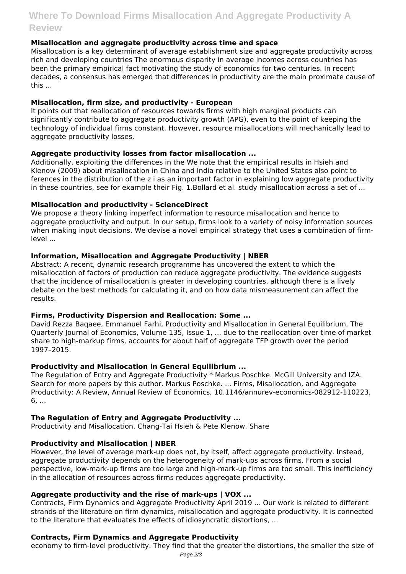# **Where To Download Firms Misallocation And Aggregate Productivity A Review**

# **Misallocation and aggregate productivity across time and space**

Misallocation is a key determinant of average establishment size and aggregate productivity across rich and developing countries The enormous disparity in average incomes across countries has been the primary empirical fact motivating the study of economics for two centuries. In recent decades, a consensus has emerged that differences in productivity are the main proximate cause of this ...

### **Misallocation, firm size, and productivity - European**

It points out that reallocation of resources towards firms with high marginal products can significantly contribute to aggregate productivity growth (APG), even to the point of keeping the technology of individual firms constant. However, resource misallocations will mechanically lead to aggregate productivity losses.

#### **Aggregate productivity losses from factor misallocation ...**

Additionally, exploiting the differences in the We note that the empirical results in Hsieh and Klenow (2009) about misallocation in China and India relative to the United States also point to ferences in the distribution of the z i as an important factor in explaining low aggregate productivity in these countries, see for example their Fig. 1.Bollard et al. study misallocation across a set of ...

#### **Misallocation and productivity - ScienceDirect**

We propose a theory linking imperfect information to resource misallocation and hence to aggregate productivity and output. In our setup, firms look to a variety of noisy information sources when making input decisions. We devise a novel empirical strategy that uses a combination of firmlevel ...

#### **Information, Misallocation and Aggregate Productivity | NBER**

Abstract: A recent, dynamic research programme has uncovered the extent to which the misallocation of factors of production can reduce aggregate productivity. The evidence suggests that the incidence of misallocation is greater in developing countries, although there is a lively debate on the best methods for calculating it, and on how data mismeasurement can affect the results.

# **Firms, Productivity Dispersion and Reallocation: Some ...**

David Rezza Baqaee, Emmanuel Farhi, Productivity and Misallocation in General Equilibrium, The Quarterly Journal of Economics, Volume 135, Issue 1, ... due to the reallocation over time of market share to high-markup firms, accounts for about half of aggregate TFP growth over the period 1997–2015.

#### **Productivity and Misallocation in General Equilibrium ...**

The Regulation of Entry and Aggregate Productivity \* Markus Poschke. McGill University and IZA. Search for more papers by this author. Markus Poschke. ... Firms, Misallocation, and Aggregate Productivity: A Review, Annual Review of Economics, 10.1146/annurev-economics-082912-110223, 6, ...

# **The Regulation of Entry and Aggregate Productivity ...**

Productivity and Misallocation. Chang-Tai Hsieh & Pete Klenow. Share

# **Productivity and Misallocation | NBER**

However, the level of average mark-up does not, by itself, affect aggregate productivity. Instead, aggregate productivity depends on the heterogeneity of mark-ups across firms. From a social perspective, low-mark-up firms are too large and high-mark-up firms are too small. This inefficiency in the allocation of resources across firms reduces aggregate productivity.

# **Aggregate productivity and the rise of mark-ups | VOX ...**

Contracts, Firm Dynamics and Aggregate Productivity April 2019 ... Our work is related to different strands of the literature on firm dynamics, misallocation and aggregate productivity. It is connected to the literature that evaluates the effects of idiosyncratic distortions, ...

#### **Contracts, Firm Dynamics and Aggregate Productivity**

economy to firm-level productivity. They find that the greater the distortions, the smaller the size of